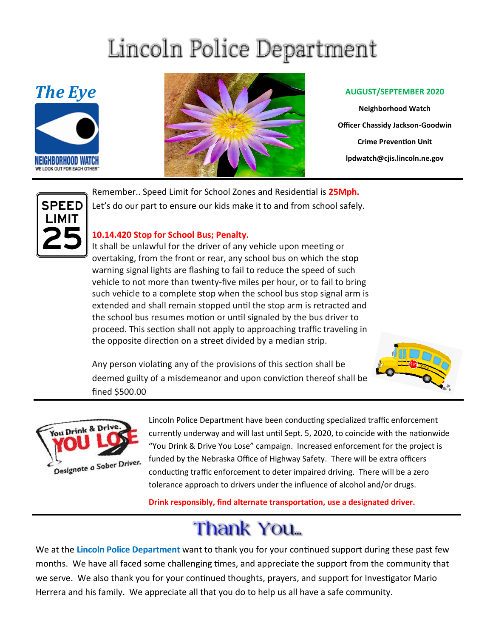# Lincoln Police Department





**Neighborhood Watch Officer Chassidy Jackson-Goodwin Crime Prevention Unit lpdwatch@cjis.lincoln.ne.gov**



Remember.. Speed Limit for School Zones and Residential is **25Mph.**  Let's do our part to ensure our kids make it to and from school safely.

#### **10.14.420 Stop for School Bus; Penalty.**

It shall be unlawful for the [driver](http://online.encodeplus.com/regs/lincoln-ne/doc-view.aspx?pn=0&ajax=0&secid=8859) of any [vehicle](http://online.encodeplus.com/regs/lincoln-ne/doc-view.aspx?pn=0&ajax=0&secid=8901) upon meeting or overtaking, from the front or rear, any school bus on which the [stop](http://online.encodeplus.com/regs/lincoln-ne/doc-view.aspx?pn=0&ajax=0&secid=8894) warning signal lights are flashing to fail to reduce the speed of such vehicle to not more than twenty-five miles per hour, or to fail to bring such vehicle to a complete stop when the school bus stop signal arm is extended and shall remain stopped until the stop arm is retracted and the school bus resumes motion or until signaled by the bus driver to proceed. This section shall not apply to approaching traffic traveling in the opposite direction on a [street](http://online.encodeplus.com/regs/lincoln-ne/doc-view.aspx?pn=0&ajax=0&secid=8895) divided by a [median](http://online.encodeplus.com/regs/lincoln-ne/doc-view.aspx?pn=0&ajax=0&secid=8864) strip.

Any person violating any of the provisions of this section shall be deemed guilty of a misdemeanor and upon conviction thereof shall be fined \$500.00





Lincoln Police Department have been conducting specialized traffic enforcement currently underway and will last until Sept. 5, 2020, to coincide with the nationwide "You Drink & Drive You Lose" campaign. Increased enforcement for the project is funded by the Nebraska Office of Highway Safety. There will be extra officers conducting traffic enforcement to deter impaired driving. There will be a zero tolerance approach to drivers under the influence of alcohol and/or drugs.

**Drink responsibly, find alternate transportation, use a designated driver.**

## Thank You...

We at the **Lincoln Police Department** want to thank you for your continued support during these past few months. We have all faced some challenging times, and appreciate the support from the community that we serve. We also thank you for your continued thoughts, prayers, and support for Investigator Mario Herrera and his family. We appreciate all that you do to help us all have a safe community.